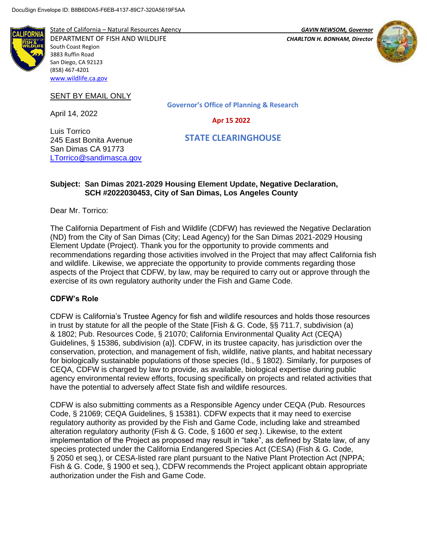

State of California – Natural Resources Agency *GAVIN NEWSOM, Governor* DEPARTMENT OF FISH AND WILDLIFE *CHARLTON H. BONHAM, Director*  South Coast Region 3883 Ruffin Road San Diego, CA 92123 (858) 467-4201 [www.wildlife.ca.gov](http://www.wildlife.ca.gov/)



# SENT BY EMAIL ONLY

245 East Bonita Avenue San Dimas CA 91773 [LTorrico@sandimasca.gov](mailto:LTorrico@sandimasca.gov)

April 14, 2022

Luis Torrico

**Governor's Office of Planning & Research**

 **Apr 15 2022**

 **STATE CLEARINGHOUSE**

## **Subject: San Dimas 2021-2029 Housing Element Update, Negative Declaration, SCH #2022030453, City of San Dimas, Los Angeles County**

Dear Mr. Torrico:

The California Department of Fish and Wildlife (CDFW) has reviewed the Negative Declaration (ND) from the City of San Dimas (City; Lead Agency) for the San Dimas 2021-2029 Housing Element Update (Project). Thank you for the opportunity to provide comments and recommendations regarding those activities involved in the Project that may affect California fish and wildlife. Likewise, we appreciate the opportunity to provide comments regarding those aspects of the Project that CDFW, by law, may be required to carry out or approve through the exercise of its own regulatory authority under the Fish and Game Code.

#### **CDFW's Role**

CDFW is California's Trustee Agency for fish and wildlife resources and holds those resources in trust by statute for all the people of the State [Fish & G. Code, §§ 711.7, subdivision (a) & 1802; Pub. Resources Code, § 21070; California Environmental Quality Act (CEQA) Guidelines, § 15386, subdivision (a)]. CDFW, in its trustee capacity, has jurisdiction over the conservation, protection, and management of fish, wildlife, native plants, and habitat necessary for biologically sustainable populations of those species (Id., § 1802). Similarly, for purposes of CEQA, CDFW is charged by law to provide, as available, biological expertise during public agency environmental review efforts, focusing specifically on projects and related activities that have the potential to adversely affect State fish and wildlife resources.

CDFW is also submitting comments as a Responsible Agency under CEQA (Pub. Resources Code, § 21069; CEQA Guidelines, § 15381). CDFW expects that it may need to exercise regulatory authority as provided by the Fish and Game Code, including lake and streambed alteration regulatory authority (Fish & G. Code, § 1600 *et seq*.). Likewise, to the extent implementation of the Project as proposed may result in "take", as defined by State law, of any species protected under the California Endangered Species Act (CESA) (Fish & G. Code, § 2050 et seq.), or CESA-listed rare plant pursuant to the Native Plant Protection Act (NPPA; Fish & G. Code, § 1900 et seq.), CDFW recommends the Project applicant obtain appropriate authorization under the Fish and Game Code.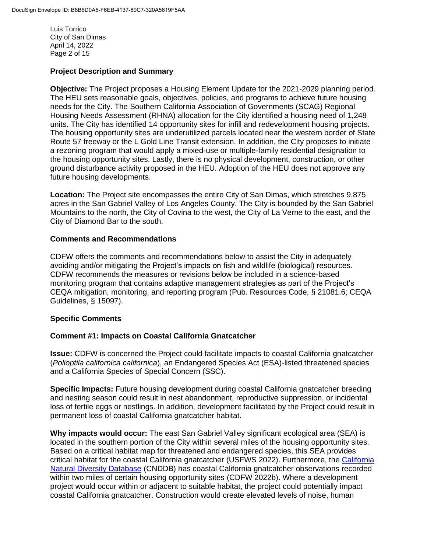Luis Torrico City of San Dimas April 14, 2022 Page 2 of 15

# **Project Description and Summary**

**Objective:** The Project proposes a Housing Element Update for the 2021-2029 planning period. The HEU sets reasonable goals, objectives, policies, and programs to achieve future housing needs for the City. The Southern California Association of Governments (SCAG) Regional Housing Needs Assessment (RHNA) allocation for the City identified a housing need of 1,248 units. The City has identified 14 opportunity sites for infill and redevelopment housing projects. The housing opportunity sites are underutilized parcels located near the western border of State Route 57 freeway or the L Gold Line Transit extension. In addition, the City proposes to initiate a rezoning program that would apply a mixed-use or multiple-family residential designation to the housing opportunity sites. Lastly, there is no physical development, construction, or other ground disturbance activity proposed in the HEU. Adoption of the HEU does not approve any future housing developments.

**Location:** The Project site encompasses the entire City of San Dimas, which stretches 9,875 acres in the San Gabriel Valley of Los Angeles County. The City is bounded by the San Gabriel Mountains to the north, the City of Covina to the west, the City of La Verne to the east, and the City of Diamond Bar to the south.

## **Comments and Recommendations**

CDFW offers the comments and recommendations below to assist the City in adequately avoiding and/or mitigating the Project's impacts on fish and wildlife (biological) resources. CDFW recommends the measures or revisions below be included in a science-based monitoring program that contains adaptive management strategies as part of the Project's CEQA mitigation, monitoring, and reporting program (Pub. Resources Code, § 21081.6; CEQA Guidelines, § 15097).

# **Specific Comments**

#### **Comment #1: Impacts on Coastal California Gnatcatcher**

**Issue:** CDFW is concerned the Project could facilitate impacts to coastal California gnatcatcher (*Polioptila californica californica*), an Endangered Species Act (ESA)-listed threatened species and a California Species of Special Concern (SSC).

**Specific Impacts:** Future housing development during coastal California gnatcatcher breeding and nesting season could result in nest abandonment, reproductive suppression, or incidental loss of fertile eggs or nestlings. In addition, development facilitated by the Project could result in permanent loss of coastal California gnatcatcher habitat.

**Why impacts would occur:** The east San Gabriel Valley significant ecological area (SEA) is located in the southern portion of the City within several miles of the housing opportunity sites. Based on a critical habitat map for threatened and endangered species, this SEA provides critical habitat for the coastal California gnatcatcher (USFWS 2022). Furthermore, the [California](https://wildlife.ca.gov/Data/CNDDB/Maps-and-Data)  [Natural Diversity Database](https://wildlife.ca.gov/Data/CNDDB/Maps-and-Data) (CNDDB) has coastal California gnatcatcher observations recorded within two miles of certain housing opportunity sites (CDFW 2022b). Where a development project would occur within or adjacent to suitable habitat, the project could potentially impact coastal California gnatcatcher. Construction would create elevated levels of noise, human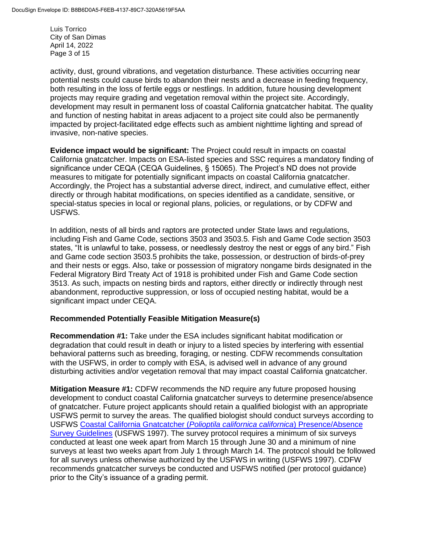Luis Torrico City of San Dimas April 14, 2022 Page 3 of 15

activity, dust, ground vibrations, and vegetation disturbance. These activities occurring near potential nests could cause birds to abandon their nests and a decrease in feeding frequency, both resulting in the loss of fertile eggs or nestlings. In addition, future housing development projects may require grading and vegetation removal within the project site. Accordingly, development may result in permanent loss of coastal California gnatcatcher habitat. The quality and function of nesting habitat in areas adjacent to a project site could also be permanently impacted by project-facilitated edge effects such as ambient nighttime lighting and spread of invasive, non-native species.

**Evidence impact would be significant:** The Project could result in impacts on coastal California gnatcatcher. Impacts on ESA-listed species and SSC requires a mandatory finding of significance under CEQA (CEQA Guidelines, § 15065). The Project's ND does not provide measures to mitigate for potentially significant impacts on coastal California gnatcatcher. Accordingly, the Project has a substantial adverse direct, indirect, and cumulative effect, either directly or through habitat modifications, on species identified as a candidate, sensitive, or special-status species in local or regional plans, policies, or regulations, or by CDFW and USFWS.

In addition, nests of all birds and raptors are protected under State laws and regulations, including Fish and Game Code, sections 3503 and 3503.5. Fish and Game Code section 3503 states, "It is unlawful to take, possess, or needlessly destroy the nest or eggs of any bird." Fish and Game code section 3503.5 prohibits the take, possession, or destruction of birds-of-prey and their nests or eggs. Also, take or possession of migratory nongame birds designated in the Federal Migratory Bird Treaty Act of 1918 is prohibited under Fish and Game Code section 3513. As such, impacts on nesting birds and raptors, either directly or indirectly through nest abandonment, reproductive suppression, or loss of occupied nesting habitat, would be a significant impact under CEQA.

# **Recommended Potentially Feasible Mitigation Measure(s)**

**Recommendation #1:** Take under the ESA includes significant habitat modification or degradation that could result in death or injury to a listed species by interfering with essential behavioral patterns such as breeding, foraging, or nesting. CDFW recommends consultation with the USFWS, in order to comply with ESA, is advised well in advance of any ground disturbing activities and/or vegetation removal that may impact coastal California gnatcatcher.

**Mitigation Measure #1:** CDFW recommends the ND require any future proposed housing development to conduct coastal California gnatcatcher surveys to determine presence/absence of gnatcatcher. Future project applicants should retain a qualified biologist with an appropriate USFWS permit to survey the areas. The qualified biologist should conduct surveys according to USFWS [Coastal California Gnatcatcher \(](https://www.fws.gov/sites/default/files/documents/survey-protocol-for-coastal-california-gnatcatcher.pdf)*Polioptila californica californica*) Presence/Absence [Survey Guidelines](https://www.fws.gov/sites/default/files/documents/survey-protocol-for-coastal-california-gnatcatcher.pdf) (USFWS 1997). The survey protocol requires a minimum of six surveys conducted at least one week apart from March 15 through June 30 and a minimum of nine surveys at least two weeks apart from July 1 through March 14. The protocol should be followed for all surveys unless otherwise authorized by the USFWS in writing (USFWS 1997). CDFW recommends gnatcatcher surveys be conducted and USFWS notified (per protocol guidance) prior to the City's issuance of a grading permit.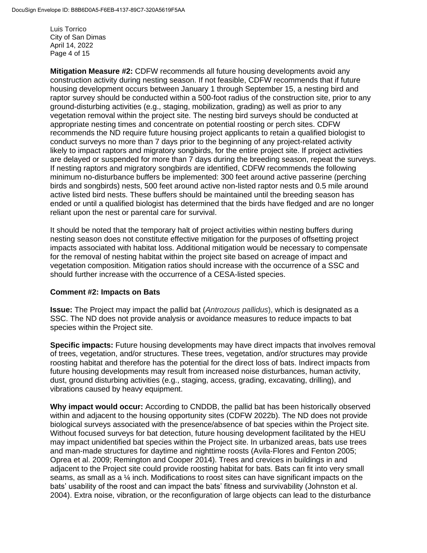Luis Torrico City of San Dimas April 14, 2022 Page 4 of 15

**Mitigation Measure #2:** CDFW recommends all future housing developments avoid any construction activity during nesting season. If not feasible, CDFW recommends that if future housing development occurs between January 1 through September 15, a nesting bird and raptor survey should be conducted within a 500-foot radius of the construction site, prior to any ground-disturbing activities (e.g., staging, mobilization, grading) as well as prior to any vegetation removal within the project site. The nesting bird surveys should be conducted at appropriate nesting times and concentrate on potential roosting or perch sites. CDFW recommends the ND require future housing project applicants to retain a qualified biologist to conduct surveys no more than 7 days prior to the beginning of any project-related activity likely to impact raptors and migratory songbirds, for the entire project site. If project activities are delayed or suspended for more than 7 days during the breeding season, repeat the surveys. If nesting raptors and migratory songbirds are identified, CDFW recommends the following minimum no-disturbance buffers be implemented: 300 feet around active passerine (perching birds and songbirds) nests, 500 feet around active non-listed raptor nests and 0.5 mile around active listed bird nests. These buffers should be maintained until the breeding season has ended or until a qualified biologist has determined that the birds have fledged and are no longer reliant upon the nest or parental care for survival.

It should be noted that the temporary halt of project activities within nesting buffers during nesting season does not constitute effective mitigation for the purposes of offsetting project impacts associated with habitat loss. Additional mitigation would be necessary to compensate for the removal of nesting habitat within the project site based on acreage of impact and vegetation composition. Mitigation ratios should increase with the occurrence of a SSC and should further increase with the occurrence of a CESA-listed species.

#### **Comment #2: Impacts on Bats**

**Issue:** The Project may impact the pallid bat (*Antrozous pallidus*), which is designated as a SSC. The ND does not provide analysis or avoidance measures to reduce impacts to bat species within the Project site.

**Specific impacts:** Future housing developments may have direct impacts that involves removal of trees, vegetation, and/or structures. These trees, vegetation, and/or structures may provide roosting habitat and therefore has the potential for the direct loss of bats. Indirect impacts from future housing developments may result from increased noise disturbances, human activity, dust, ground disturbing activities (e.g., staging, access, grading, excavating, drilling), and vibrations caused by heavy equipment.

**Why impact would occur:** According to CNDDB, the pallid bat has been historically observed within and adjacent to the housing opportunity sites (CDFW 2022b). The ND does not provide biological surveys associated with the presence/absence of bat species within the Project site. Without focused surveys for bat detection, future housing development facilitated by the HEU may impact unidentified bat species within the Project site. In urbanized areas, bats use trees and man-made structures for daytime and nighttime roosts (Avila-Flores and Fenton 2005; Oprea et al. 2009; Remington and Cooper 2014). Trees and crevices in buildings in and adjacent to the Project site could provide roosting habitat for bats. Bats can fit into very small seams, as small as a  $\frac{1}{4}$  inch. Modifications to roost sites can have significant impacts on the bats' usability of the roost and can impact the bats' fitness and survivability (Johnston et al. 2004). Extra noise, vibration, or the reconfiguration of large objects can lead to the disturbance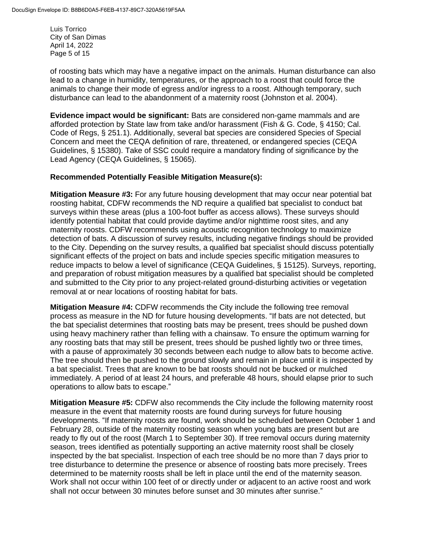Luis Torrico City of San Dimas April 14, 2022 Page 5 of 15

of roosting bats which may have a negative impact on the animals. Human disturbance can also lead to a change in humidity, temperatures, or the approach to a roost that could force the animals to change their mode of egress and/or ingress to a roost. Although temporary, such disturbance can lead to the abandonment of a maternity roost (Johnston et al. 2004).

**Evidence impact would be significant:** Bats are considered non-game mammals and are afforded protection by State law from take and/or harassment (Fish & G. Code, § 4150; Cal. Code of Regs, § 251.1). Additionally, several bat species are considered Species of Special Concern and meet the CEQA definition of rare, threatened, or endangered species (CEQA Guidelines, § 15380). Take of SSC could require a mandatory finding of significance by the Lead Agency (CEQA Guidelines, § 15065).

## **Recommended Potentially Feasible Mitigation Measure(s):**

**Mitigation Measure #3:** For any future housing development that may occur near potential bat roosting habitat, CDFW recommends the ND require a qualified bat specialist to conduct bat surveys within these areas (plus a 100-foot buffer as access allows). These surveys should identify potential habitat that could provide daytime and/or nighttime roost sites, and any maternity roosts. CDFW recommends using acoustic recognition technology to maximize detection of bats. A discussion of survey results, including negative findings should be provided to the City. Depending on the survey results, a qualified bat specialist should discuss potentially significant effects of the project on bats and include species specific mitigation measures to reduce impacts to below a level of significance (CEQA Guidelines, § 15125). Surveys, reporting, and preparation of robust mitigation measures by a qualified bat specialist should be completed and submitted to the City prior to any project-related ground-disturbing activities or vegetation removal at or near locations of roosting habitat for bats.

**Mitigation Measure #4:** CDFW recommends the City include the following tree removal process as measure in the ND for future housing developments. "If bats are not detected, but the bat specialist determines that roosting bats may be present, trees should be pushed down using heavy machinery rather than felling with a chainsaw. To ensure the optimum warning for any roosting bats that may still be present, trees should be pushed lightly two or three times, with a pause of approximately 30 seconds between each nudge to allow bats to become active. The tree should then be pushed to the ground slowly and remain in place until it is inspected by a bat specialist. Trees that are known to be bat roosts should not be bucked or mulched immediately. A period of at least 24 hours, and preferable 48 hours, should elapse prior to such operations to allow bats to escape."

**Mitigation Measure #5:** CDFW also recommends the City include the following maternity roost measure in the event that maternity roosts are found during surveys for future housing developments. "If maternity roosts are found, work should be scheduled between October 1 and February 28, outside of the maternity roosting season when young bats are present but are ready to fly out of the roost (March 1 to September 30). If tree removal occurs during maternity season, trees identified as potentially supporting an active maternity roost shall be closely inspected by the bat specialist. Inspection of each tree should be no more than 7 days prior to tree disturbance to determine the presence or absence of roosting bats more precisely. Trees determined to be maternity roosts shall be left in place until the end of the maternity season. Work shall not occur within 100 feet of or directly under or adjacent to an active roost and work shall not occur between 30 minutes before sunset and 30 minutes after sunrise."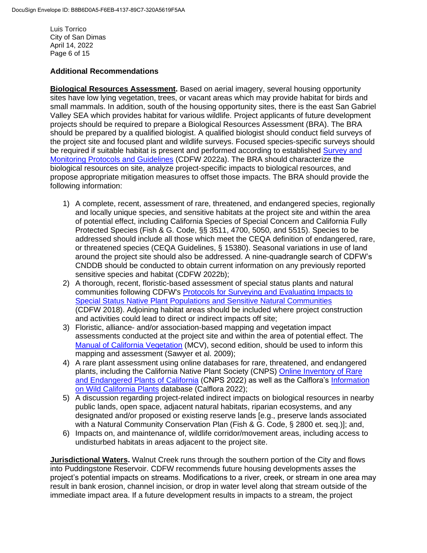Luis Torrico City of San Dimas April 14, 2022 Page 6 of 15

# **Additional Recommendations**

**Biological Resources Assessment.** Based on aerial imagery, several housing opportunity sites have low lying vegetation, trees, or vacant areas which may provide habitat for birds and small mammals. In addition, south of the housing opportunity sites, there is the east San Gabriel Valley SEA which provides habitat for various wildlife. Project applicants of future development projects should be required to prepare a Biological Resources Assessment (BRA). The BRA should be prepared by a qualified biologist. A qualified biologist should conduct field surveys of the project site and focused plant and wildlife surveys. Focused species-specific surveys should be required if suitable habitat is present and performed according to established [Survey and](https://wildlife.ca.gov/Conservation/Survey-Protocols#377281284-birds)  [Monitoring Protocols and](https://wildlife.ca.gov/Conservation/Survey-Protocols#377281284-birds) Guidelines (CDFW 2022a). The BRA should characterize the biological resources on site, analyze project-specific impacts to biological resources, and propose appropriate mitigation measures to offset those impacts. The BRA should provide the following information:

- 1) A complete, recent, assessment of rare, threatened, and endangered species, regionally and locally unique species, and sensitive habitats at the project site and within the area of potential effect, including California Species of Special Concern and California Fully Protected Species (Fish & G. Code, §§ 3511, 4700, 5050, and 5515). Species to be addressed should include all those which meet the CEQA definition of endangered, rare, or threatened species (CEQA Guidelines, § 15380). Seasonal variations in use of land around the project site should also be addressed. A nine-quadrangle search of CDFW's CNDDB should be conducted to obtain current information on any previously reported sensitive species and habitat (CDFW 2022b);
- 2) A thorough, recent, floristic-based assessment of special status plants and natural communities following CDFW's [Protocols for Surveying and Evaluating](https://nrm.dfg.ca.gov/FileHandler.ashx?DocumentID=18959&inline) Impacts to [Special Status Native Plant Populations and Sensitive Natural Communities](https://nrm.dfg.ca.gov/FileHandler.ashx?DocumentID=18959&inline) (CDFW 2018). Adjoining habitat areas should be included where project construction and activities could lead to direct or indirect impacts off site;
- 3) Floristic, alliance- and/or association-based mapping and vegetation impact assessments conducted at the project site and within the area of potential effect. The [Manual of California Vegetation](https://vegetation.cnps.org/) (MCV), second edition, should be used to inform this mapping and assessment (Sawyer et al. 2009);
- 4) A rare plant assessment using online databases for rare, threatened, and endangered plants, including the California Native Plant Society (CNPS) [Online Inventory of Rare](https://rareplants.cnps.org/) [and Endangered Plants of California](https://rareplants.cnps.org/) (CNPS 2022) as well as the Calflora's [Information](https://www.calflora.org/) [on Wild California Plants](https://www.calflora.org/) database (Calflora 2022);
- 5) A discussion regarding project-related indirect impacts on biological resources in nearby public lands, open space, adjacent natural habitats, riparian ecosystems, and any designated and/or proposed or existing reserve lands [e.g., preserve lands associated with a Natural Community Conservation Plan (Fish & G. Code, § 2800 et. seq.)]; and,
- 6) Impacts on, and maintenance of, wildlife corridor/movement areas, including access to undisturbed habitats in areas adjacent to the project site.

**Jurisdictional Waters.** Walnut Creek runs through the southern portion of the City and flows into Puddingstone Reservoir. CDFW recommends future housing developments asses the project's potential impacts on streams. Modifications to a river, creek, or stream in one area may result in bank erosion, channel incision, or drop in water level along that stream outside of the immediate impact area. If a future development results in impacts to a stream, the project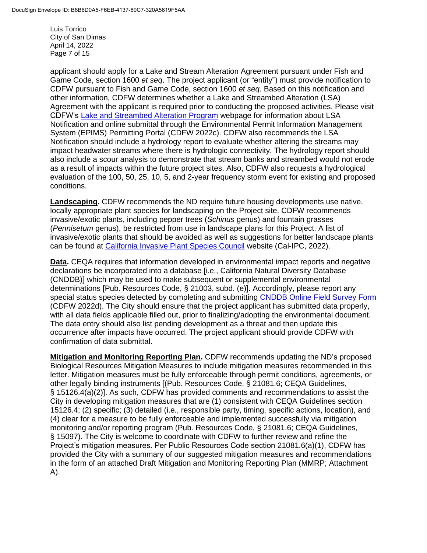Luis Torrico City of San Dimas April 14, 2022 Page 7 of 15

applicant should apply for a Lake and Stream Alteration Agreement pursuant under Fish and Game Code, section 1600 *et seq*. The project applicant (or "entity") must provide notification to CDFW pursuant to Fish and Game Code, section 1600 *et seq*. Based on this notification and other information, CDFW determines whether a Lake and Streambed Alteration (LSA) Agreement with the applicant is required prior to conducting the proposed activities. Please visit CDFW's [Lake and Streambed](https://wildlife.ca.gov/Conservation/Environmental-Review/LSA) Alteration Program webpage for information about LSA Notification and online submittal through the Environmental Permit Information Management System (EPIMS) Permitting Portal (CDFW 2022c). CDFW also recommends the LSA Notification should include a hydrology report to evaluate whether altering the streams may impact headwater streams where there is hydrologic connectivity. The hydrology report should also include a scour analysis to demonstrate that stream banks and streambed would not erode as a result of impacts within the future project sites. Also, CDFW also requests a hydrological evaluation of the 100, 50, 25, 10, 5, and 2-year frequency storm event for existing and proposed conditions.

**Landscaping.** CDFW recommends the ND require future housing developments use native, locally appropriate plant species for landscaping on the Project site. CDFW recommends invasive/exotic plants, including pepper trees (*Schinus* genus) and fountain grasses (*Pennisetum* genus), be restricted from use in landscape plans for this Project. A list of invasive/exotic plants that should be avoided as well as suggestions for better landscape plants can be found at [California Invasive Plant Species Council](https://www.cal-ipc.org/solutions/prevention/landscaping/) website (Cal-IPC, 2022).

**Data.** CEQA requires that information developed in environmental impact reports and negative declarations be incorporated into a database [i.e., California Natural Diversity Database (CNDDB)] which may be used to make subsequent or supplemental environmental determinations [Pub. Resources Code, § 21003, subd. (e)]. Accordingly, please report any special status species detected by completing and submitting [CNDDB Online Field Survey Form](https://wildlife.ca.gov/Data/CNDDB/Submitting-Data) (CDFW 2022d). The City should ensure that the project applicant has submitted data properly, with all data fields applicable filled out, prior to finalizing/adopting the environmental document. The data entry should also list pending development as a threat and then update this occurrence after impacts have occurred. The project applicant should provide CDFW with confirmation of data submittal.

**Mitigation and Monitoring Reporting Plan.** CDFW recommends updating the ND's proposed Biological Resources Mitigation Measures to include mitigation measures recommended in this letter. Mitigation measures must be fully enforceable through permit conditions, agreements, or other legally binding instruments [(Pub. Resources Code, § 21081.6; CEQA Guidelines, § 15126.4(a)(2)]. As such, CDFW has provided comments and recommendations to assist the City in developing mitigation measures that are (1) consistent with CEQA Guidelines section 15126.4; (2) specific; (3) detailed (i.e., responsible party, timing, specific actions, location), and (4) clear for a measure to be fully enforceable and implemented successfully via mitigation monitoring and/or reporting program (Pub. Resources Code, § 21081.6; CEQA Guidelines, § 15097). The City is welcome to coordinate with CDFW to further review and refine the Project's mitigation measures. Per Public Resources Code section 21081.6(a)(1), CDFW has provided the City with a summary of our suggested mitigation measures and recommendations in the form of an attached Draft Mitigation and Monitoring Reporting Plan (MMRP; Attachment A).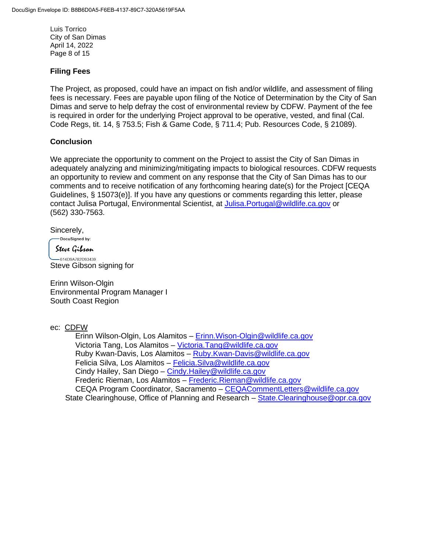Luis Torrico City of San Dimas April 14, 2022 Page 8 of 15

# **Filing Fees**

The Project, as proposed, could have an impact on fish and/or wildlife, and assessment of filing fees is necessary. Fees are payable upon filing of the Notice of Determination by the City of San Dimas and serve to help defray the cost of environmental review by CDFW. Payment of the fee is required in order for the underlying Project approval to be operative, vested, and final (Cal. Code Regs, tit. 14, § 753.5; Fish & Game Code, § 711.4; Pub. Resources Code, § 21089).

## **Conclusion**

We appreciate the opportunity to comment on the Project to assist the City of San Dimas in adequately analyzing and minimizing/mitigating impacts to biological resources. CDFW requests an opportunity to review and comment on any response that the City of San Dimas has to our comments and to receive notification of any forthcoming hearing date(s) for the Project [CEQA Guidelines, § 15073(e)]. If you have any questions or comments regarding this letter, please contact Julisa Portugal, Environmental Scientist, at [Julisa.Portugal@wildlife.ca.gov](mailto:Julisa.Portugal@wildlife.ca.gov) or (562) 330-7563.

Sincerely,

DocuSigned by:

Steve Gibson

 $-614D9A782D93439...$ Steve Gibson signing for

Erinn Wilson-Olgin Environmental Program Manager I South Coast Region

#### ec: CDFW

Erinn Wilson-Olgin, Los Alamitos – [Erinn.Wison-Olgin@wildlife.ca.gov](mailto:Erinn.Wison-Olgin@wildlife.ca.gov) Victoria Tang, Los Alamitos – [Victoria.Tang@wildlife.ca.gov](mailto:Victoria.Tang@wildlife.ca.gov) Ruby Kwan-Davis, Los Alamitos - [Ruby.Kwan-Davis@wildlife.ca.gov](mailto:Ruby.Kwan-Davis@wildlife.ca.gov) Felicia Silva, Los Alamitos – [Felicia.Silva@wildlife.ca.gov](mailto:Felicia.Silva@wildlife.ca.gov) Cindy Hailey, San Diego – [Cindy.Hailey@wildlife.ca.gov](mailto:Cindy.Hailey@wildlife.ca.gov) Frederic Rieman, Los Alamitos - Frederic. Rieman@wildlife.ca.gov CEQA Program Coordinator, Sacramento – [CEQACommentLetters@wildlife.ca.gov](mailto:CEQACommentLetters@wildlife.ca.gov)  State Clearinghouse, Office of Planning and Research – [State.Clearinghouse@opr.ca.gov](mailto:State.Clearinghouse@opr.ca.gov)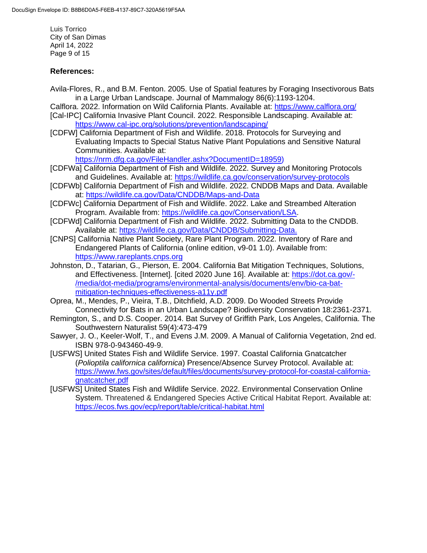Luis Torrico City of San Dimas April 14, 2022 Page 9 of 15

# **References:**

Avila-Flores, R., and B.M. Fenton. 2005. Use of Spatial features by Foraging Insectivorous Bats in a Large Urban Landscape. Journal of Mammalogy 86(6):1193-1204.

Calflora. 2022. Information on Wild California Plants. Available at:<https://www.calflora.org/> [Cal-IPC] California Invasive Plant Council. 2022. Responsible Landscaping. Available at: <https://www.cal-ipc.org/solutions/prevention/landscaping/>

[CDFW] California Department of Fish and Wildlife. 2018. Protocols for Surveying and Evaluating Impacts to Special Status Native Plant Populations and Sensitive Natural Communities. Available at:

[https://nrm.dfg.ca.gov/FileHandler.ashx?DocumentID=18959\)](https://nrm.dfg.ca.gov/FileHandler.ashx?DocumentID=18959)

- [CDFWa] California Department of Fish and Wildlife. 2022. Survey and Monitoring Protocols and Guidelines. Available at:<https://wildlife.ca.gov/conservation/survey-protocols>
- [CDFWb] California Department of Fish and Wildlife. 2022. CNDDB Maps and Data. Available at: <https://wildlife.ca.gov/Data/CNDDB/Maps-and-Data>
- [CDFWc] California Department of Fish and Wildlife. 2022. Lake and Streambed Alteration Program. Available from: [https://wildlife.ca.gov/Conservation/LSA.](https://wildlife.ca.gov/Conservation/LSA)
- [CDFWd] California Department of Fish and Wildlife. 2022. Submitting Data to the CNDDB. Available at: [https://wildlife.ca.gov/Data/CNDDB/Submitting-Data.](https://wildlife.ca.gov/Data/CNDDB/Submitting-Data)
- [CNPS] California Native Plant Society, Rare Plant Program. 2022. Inventory of Rare and Endangered Plants of California (online edition, v9-01 1.0). Available from: [https://www.rareplants.cnps.org](https://www.rareplants.cnps.org/)
- Johnston, D., Tatarian, G., Pierson, E. 2004. California Bat Mitigation Techniques, Solutions, and Effectiveness. [Internet]. [cited 2020 June 16]. Available at: [https://dot.ca.gov/-](https://dot.ca.gov/-/media/dot-media/programs/environmental-analysis/documents/env/bio-ca-bat-mitigation-techniques-effectiveness-a11y.pdf) [/media/dot-media/programs/environmental-analysis/documents/env/bio-ca-bat](https://dot.ca.gov/-/media/dot-media/programs/environmental-analysis/documents/env/bio-ca-bat-mitigation-techniques-effectiveness-a11y.pdf)[mitigation-techniques-effectiveness-a11y.pdf](https://dot.ca.gov/-/media/dot-media/programs/environmental-analysis/documents/env/bio-ca-bat-mitigation-techniques-effectiveness-a11y.pdf)
- Oprea, M., Mendes, P., Vieira, T.B., Ditchfield, A.D. 2009. Do Wooded Streets Provide Connectivity for Bats in an Urban Landscape? Biodiversity Conservation 18:2361-2371.
- Remington, S., and D.S. Cooper. 2014. Bat Survey of Griffith Park, Los Angeles, California. The Southwestern Naturalist 59(4):473-479
- Sawyer, J. O., Keeler-Wolf, T., and Evens J.M. 2009. A Manual of California Vegetation, 2nd ed. ISBN 978-0-943460-49-9.
- [USFWS] United States Fish and Wildlife Service. 1997. Coastal California Gnatcatcher (*Polioptila californica californica*) Presence/Absence Survey Protocol. Available at: [https://www.fws.gov/sites/default/files/documents/survey-protocol-for-coastal-california](https://www.fws.gov/sites/default/files/documents/survey-protocol-for-coastal-california-gnatcatcher.pdf)[gnatcatcher.pdf](https://www.fws.gov/sites/default/files/documents/survey-protocol-for-coastal-california-gnatcatcher.pdf)
- [USFWS] United States Fish and Wildlife Service. 2022. Environmental Conservation Online System. Threatened & Endangered Species Active Critical Habitat Report. Available at: <https://ecos.fws.gov/ecp/report/table/critical-habitat.html>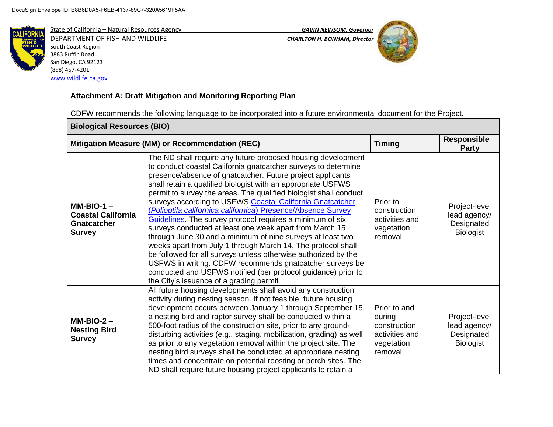

DEPARTMENT OF FISH AND WILDLIFE *CHARLTON H. BONHAM, Director*  South Coast Region 3883 Ruffin Road San Diego, CA 92123 (858) 467-4201 [www.wildlife.ca.gov](http://www.wildlife.ca.gov/)

State of California – Natural Resources Agency *GAVIN NEWSOM, Governor*



# **Attachment A: Draft Mitigation and Monitoring Reporting Plan**

CDFW recommends the following language to be incorporated into a future environmental document for the Project.

| <b>Biological Resources (BIO)</b>                                                |                                                                                                                                                                                                                                                                                                                                                                                                                                                                                                                                                                                                                                                                                                                                                                                                                                                                                                                                                                 |                                                                                   |                                                                 |
|----------------------------------------------------------------------------------|-----------------------------------------------------------------------------------------------------------------------------------------------------------------------------------------------------------------------------------------------------------------------------------------------------------------------------------------------------------------------------------------------------------------------------------------------------------------------------------------------------------------------------------------------------------------------------------------------------------------------------------------------------------------------------------------------------------------------------------------------------------------------------------------------------------------------------------------------------------------------------------------------------------------------------------------------------------------|-----------------------------------------------------------------------------------|-----------------------------------------------------------------|
|                                                                                  | Mitigation Measure (MM) or Recommendation (REC)                                                                                                                                                                                                                                                                                                                                                                                                                                                                                                                                                                                                                                                                                                                                                                                                                                                                                                                 | <b>Timing</b>                                                                     | <b>Responsible</b><br><b>Party</b>                              |
| $MM-BIO-1 -$<br><b>Coastal California</b><br><b>Gnatcatcher</b><br><b>Survey</b> | The ND shall require any future proposed housing development<br>to conduct coastal California gnatcatcher surveys to determine<br>presence/absence of gnatcatcher. Future project applicants<br>shall retain a qualified biologist with an appropriate USFWS<br>permit to survey the areas. The qualified biologist shall conduct<br>surveys according to USFWS Coastal California Gnatcatcher<br>(Polioptila californica californica) Presence/Absence Survey<br>Guidelines. The survey protocol requires a minimum of six<br>surveys conducted at least one week apart from March 15<br>through June 30 and a minimum of nine surveys at least two<br>weeks apart from July 1 through March 14. The protocol shall<br>be followed for all surveys unless otherwise authorized by the<br>USFWS in writing. CDFW recommends gnatcatcher surveys be<br>conducted and USFWS notified (per protocol guidance) prior to<br>the City's issuance of a grading permit. | Prior to<br>construction<br>activities and<br>vegetation<br>removal               | Project-level<br>lead agency/<br>Designated<br><b>Biologist</b> |
| $MM-BIO-2 -$<br><b>Nesting Bird</b><br><b>Survey</b>                             | All future housing developments shall avoid any construction<br>activity during nesting season. If not feasible, future housing<br>development occurs between January 1 through September 15,<br>a nesting bird and raptor survey shall be conducted within a<br>500-foot radius of the construction site, prior to any ground-<br>disturbing activities (e.g., staging, mobilization, grading) as well<br>as prior to any vegetation removal within the project site. The<br>nesting bird surveys shall be conducted at appropriate nesting<br>times and concentrate on potential roosting or perch sites. The<br>ND shall require future housing project applicants to retain a                                                                                                                                                                                                                                                                               | Prior to and<br>during<br>construction<br>activities and<br>vegetation<br>removal | Project-level<br>lead agency/<br>Designated<br><b>Biologist</b> |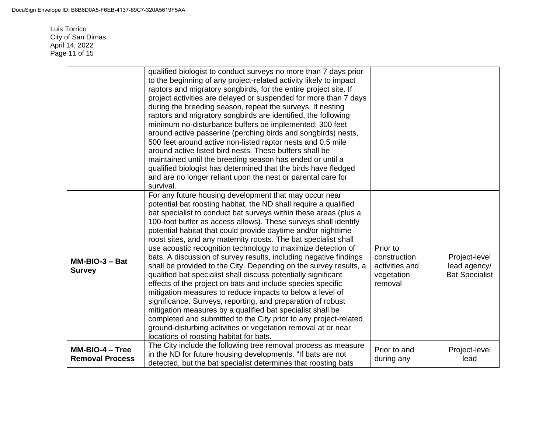Luis Torrico City of San Dimas April 14, 2022 Page 11 of 15

|                                             | qualified biologist to conduct surveys no more than 7 days prior<br>to the beginning of any project-related activity likely to impact<br>raptors and migratory songbirds, for the entire project site. If<br>project activities are delayed or suspended for more than 7 days<br>during the breeding season, repeat the surveys. If nesting<br>raptors and migratory songbirds are identified, the following<br>minimum no-disturbance buffers be implemented: 300 feet<br>around active passerine (perching birds and songbirds) nests,<br>500 feet around active non-listed raptor nests and 0.5 mile<br>around active listed bird nests. These buffers shall be<br>maintained until the breeding season has ended or until a<br>qualified biologist has determined that the birds have fledged<br>and are no longer reliant upon the nest or parental care for<br>survival.                                                                                                                                                                                                                                             |                                                                     |                                                        |
|---------------------------------------------|----------------------------------------------------------------------------------------------------------------------------------------------------------------------------------------------------------------------------------------------------------------------------------------------------------------------------------------------------------------------------------------------------------------------------------------------------------------------------------------------------------------------------------------------------------------------------------------------------------------------------------------------------------------------------------------------------------------------------------------------------------------------------------------------------------------------------------------------------------------------------------------------------------------------------------------------------------------------------------------------------------------------------------------------------------------------------------------------------------------------------|---------------------------------------------------------------------|--------------------------------------------------------|
| $MM-BIO-3 - Bat$<br><b>Survey</b>           | For any future housing development that may occur near<br>potential bat roosting habitat, the ND shall require a qualified<br>bat specialist to conduct bat surveys within these areas (plus a<br>100-foot buffer as access allows). These surveys shall identify<br>potential habitat that could provide daytime and/or nighttime<br>roost sites, and any maternity roosts. The bat specialist shall<br>use acoustic recognition technology to maximize detection of<br>bats. A discussion of survey results, including negative findings<br>shall be provided to the City. Depending on the survey results, a<br>qualified bat specialist shall discuss potentially significant<br>effects of the project on bats and include species specific<br>mitigation measures to reduce impacts to below a level of<br>significance. Surveys, reporting, and preparation of robust<br>mitigation measures by a qualified bat specialist shall be<br>completed and submitted to the City prior to any project-related<br>ground-disturbing activities or vegetation removal at or near<br>locations of roosting habitat for bats. | Prior to<br>construction<br>activities and<br>vegetation<br>removal | Project-level<br>lead agency/<br><b>Bat Specialist</b> |
| $MM-BIO-4 - Tree$<br><b>Removal Process</b> | The City include the following tree removal process as measure<br>in the ND for future housing developments. "If bats are not<br>detected, but the bat specialist determines that roosting bats                                                                                                                                                                                                                                                                                                                                                                                                                                                                                                                                                                                                                                                                                                                                                                                                                                                                                                                            | Prior to and<br>during any                                          | Project-level<br>lead                                  |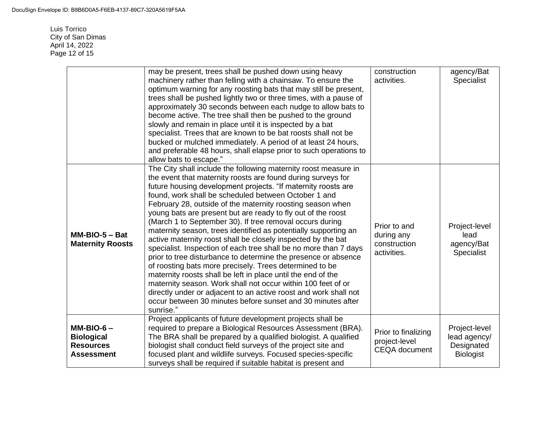Luis Torrico City of San Dimas April 14, 2022 Page 12 of 15

|                                                                           | may be present, trees shall be pushed down using heavy<br>machinery rather than felling with a chainsaw. To ensure the<br>optimum warning for any roosting bats that may still be present,<br>trees shall be pushed lightly two or three times, with a pause of<br>approximately 30 seconds between each nudge to allow bats to<br>become active. The tree shall then be pushed to the ground<br>slowly and remain in place until it is inspected by a bat<br>specialist. Trees that are known to be bat roosts shall not be<br>bucked or mulched immediately. A period of at least 24 hours,<br>and preferable 48 hours, shall elapse prior to such operations to<br>allow bats to escape."                                                                                                                                                                                                                                                                                                                                                                           | construction<br>activities.                                  | agency/Bat<br>Specialist                                        |
|---------------------------------------------------------------------------|------------------------------------------------------------------------------------------------------------------------------------------------------------------------------------------------------------------------------------------------------------------------------------------------------------------------------------------------------------------------------------------------------------------------------------------------------------------------------------------------------------------------------------------------------------------------------------------------------------------------------------------------------------------------------------------------------------------------------------------------------------------------------------------------------------------------------------------------------------------------------------------------------------------------------------------------------------------------------------------------------------------------------------------------------------------------|--------------------------------------------------------------|-----------------------------------------------------------------|
| $MM-BIO-5 - Bat$<br><b>Maternity Roosts</b>                               | The City shall include the following maternity roost measure in<br>the event that maternity roosts are found during surveys for<br>future housing development projects. "If maternity roosts are<br>found, work shall be scheduled between October 1 and<br>February 28, outside of the maternity roosting season when<br>young bats are present but are ready to fly out of the roost<br>(March 1 to September 30). If tree removal occurs during<br>maternity season, trees identified as potentially supporting an<br>active maternity roost shall be closely inspected by the bat<br>specialist. Inspection of each tree shall be no more than 7 days<br>prior to tree disturbance to determine the presence or absence<br>of roosting bats more precisely. Trees determined to be<br>maternity roosts shall be left in place until the end of the<br>maternity season. Work shall not occur within 100 feet of or<br>directly under or adjacent to an active roost and work shall not<br>occur between 30 minutes before sunset and 30 minutes after<br>sunrise." | Prior to and<br>during any<br>construction<br>activities.    | Project-level<br>lead<br>agency/Bat<br>Specialist               |
| $MM-BIO-6-$<br><b>Biological</b><br><b>Resources</b><br><b>Assessment</b> | Project applicants of future development projects shall be<br>required to prepare a Biological Resources Assessment (BRA).<br>The BRA shall be prepared by a qualified biologist. A qualified<br>biologist shall conduct field surveys of the project site and<br>focused plant and wildlife surveys. Focused species-specific<br>surveys shall be required if suitable habitat is present and                                                                                                                                                                                                                                                                                                                                                                                                                                                                                                                                                                                                                                                                         | Prior to finalizing<br>project-level<br><b>CEQA</b> document | Project-level<br>lead agency/<br>Designated<br><b>Biologist</b> |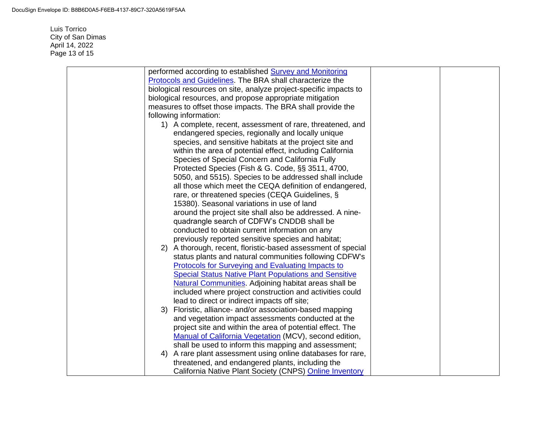Luis Torrico City of San Dimas April 14, 2022 Page 13 of 15

|    | performed according to established Survey and Monitoring          |  |
|----|-------------------------------------------------------------------|--|
|    | <b>Protocols and Guidelines. The BRA shall characterize the</b>   |  |
|    | biological resources on site, analyze project-specific impacts to |  |
|    | biological resources, and propose appropriate mitigation          |  |
|    | measures to offset those impacts. The BRA shall provide the       |  |
|    | following information:                                            |  |
|    | 1) A complete, recent, assessment of rare, threatened, and        |  |
|    | endangered species, regionally and locally unique                 |  |
|    | species, and sensitive habitats at the project site and           |  |
|    | within the area of potential effect, including California         |  |
|    | Species of Special Concern and California Fully                   |  |
|    | Protected Species (Fish & G. Code, §§ 3511, 4700,                 |  |
|    | 5050, and 5515). Species to be addressed shall include            |  |
|    | all those which meet the CEQA definition of endangered,           |  |
|    | rare, or threatened species (CEQA Guidelines, §                   |  |
|    | 15380). Seasonal variations in use of land                        |  |
|    | around the project site shall also be addressed. A nine-          |  |
|    | quadrangle search of CDFW's CNDDB shall be                        |  |
|    | conducted to obtain current information on any                    |  |
|    | previously reported sensitive species and habitat;                |  |
|    | 2) A thorough, recent, floristic-based assessment of special      |  |
|    | status plants and natural communities following CDFW's            |  |
|    | <b>Protocols for Surveying and Evaluating Impacts to</b>          |  |
|    | <b>Special Status Native Plant Populations and Sensitive</b>      |  |
|    | <b>Natural Communities.</b> Adjoining habitat areas shall be      |  |
|    | included where project construction and activities could          |  |
|    | lead to direct or indirect impacts off site;                      |  |
|    | 3) Floristic, alliance- and/or association-based mapping          |  |
|    | and vegetation impact assessments conducted at the                |  |
|    | project site and within the area of potential effect. The         |  |
|    | Manual of California Vegetation (MCV), second edition,            |  |
|    | shall be used to inform this mapping and assessment;              |  |
| 4) | A rare plant assessment using online databases for rare,          |  |
|    | threatened, and endangered plants, including the                  |  |
|    | California Native Plant Society (CNPS) Online Inventory           |  |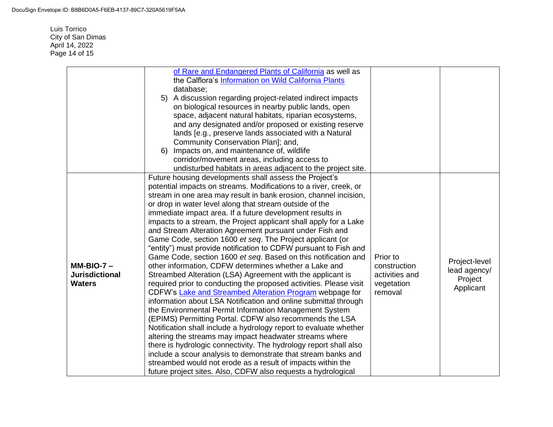Luis Torrico City of San Dimas April 14, 2022 Page 14 of 15

|                                        | of Rare and Endangered Plants of California as well as<br>the Calflora's Information on Wild California Plants<br>database;<br>5) A discussion regarding project-related indirect impacts<br>on biological resources in nearby public lands, open<br>space, adjacent natural habitats, riparian ecosystems,<br>and any designated and/or proposed or existing reserve<br>lands [e.g., preserve lands associated with a Natural<br>Community Conservation Plan]; and,<br>6) Impacts on, and maintenance of, wildlife<br>corridor/movement areas, including access to<br>undisturbed habitats in areas adjacent to the project site.<br>Future housing developments shall assess the Project's |                              |               |
|----------------------------------------|----------------------------------------------------------------------------------------------------------------------------------------------------------------------------------------------------------------------------------------------------------------------------------------------------------------------------------------------------------------------------------------------------------------------------------------------------------------------------------------------------------------------------------------------------------------------------------------------------------------------------------------------------------------------------------------------|------------------------------|---------------|
|                                        | potential impacts on streams. Modifications to a river, creek, or<br>stream in one area may result in bank erosion, channel incision,                                                                                                                                                                                                                                                                                                                                                                                                                                                                                                                                                        |                              |               |
|                                        | or drop in water level along that stream outside of the<br>immediate impact area. If a future development results in<br>impacts to a stream, the Project applicant shall apply for a Lake                                                                                                                                                                                                                                                                                                                                                                                                                                                                                                    |                              |               |
|                                        | and Stream Alteration Agreement pursuant under Fish and                                                                                                                                                                                                                                                                                                                                                                                                                                                                                                                                                                                                                                      |                              |               |
|                                        | Game Code, section 1600 et seq. The Project applicant (or<br>"entity") must provide notification to CDFW pursuant to Fish and                                                                                                                                                                                                                                                                                                                                                                                                                                                                                                                                                                |                              |               |
|                                        | Game Code, section 1600 et seq. Based on this notification and                                                                                                                                                                                                                                                                                                                                                                                                                                                                                                                                                                                                                               | Prior to                     | Project-level |
| $MM-BIO-7-$                            | other information, CDFW determines whether a Lake and                                                                                                                                                                                                                                                                                                                                                                                                                                                                                                                                                                                                                                        | construction                 | lead agency/  |
| <b>Jurisdictional</b><br><b>Waters</b> | Streambed Alteration (LSA) Agreement with the applicant is<br>required prior to conducting the proposed activities. Please visit                                                                                                                                                                                                                                                                                                                                                                                                                                                                                                                                                             | activities and<br>vegetation | Project       |
|                                        | CDFW's Lake and Streambed Alteration Program webpage for                                                                                                                                                                                                                                                                                                                                                                                                                                                                                                                                                                                                                                     | removal                      | Applicant     |
|                                        | information about LSA Notification and online submittal through                                                                                                                                                                                                                                                                                                                                                                                                                                                                                                                                                                                                                              |                              |               |
|                                        | the Environmental Permit Information Management System                                                                                                                                                                                                                                                                                                                                                                                                                                                                                                                                                                                                                                       |                              |               |
|                                        | (EPIMS) Permitting Portal. CDFW also recommends the LSA<br>Notification shall include a hydrology report to evaluate whether                                                                                                                                                                                                                                                                                                                                                                                                                                                                                                                                                                 |                              |               |
|                                        | altering the streams may impact headwater streams where                                                                                                                                                                                                                                                                                                                                                                                                                                                                                                                                                                                                                                      |                              |               |
|                                        | there is hydrologic connectivity. The hydrology report shall also                                                                                                                                                                                                                                                                                                                                                                                                                                                                                                                                                                                                                            |                              |               |
|                                        | include a scour analysis to demonstrate that stream banks and                                                                                                                                                                                                                                                                                                                                                                                                                                                                                                                                                                                                                                |                              |               |
|                                        | streambed would not erode as a result of impacts within the                                                                                                                                                                                                                                                                                                                                                                                                                                                                                                                                                                                                                                  |                              |               |
|                                        | future project sites. Also, CDFW also requests a hydrological                                                                                                                                                                                                                                                                                                                                                                                                                                                                                                                                                                                                                                |                              |               |